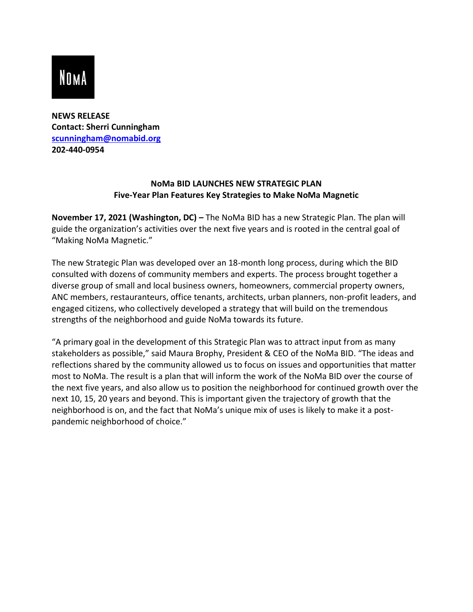## **NOMA**

**NEWS RELEASE Contact: Sherri Cunningham [scunningham@nomabid.org](mailto:scunningham@nomabid.org) 202-440-0954** 

## **NoMa BID LAUNCHES NEW STRATEGIC PLAN Five-Year Plan Features Key Strategies to Make NoMa Magnetic**

**November 17, 2021 (Washington, DC) –** The NoMa BID has a new Strategic Plan. The plan will guide the organization's activities over the next five years and is rooted in the central goal of "Making NoMa Magnetic."

The new Strategic Plan was developed over an 18-month long process, during which the BID consulted with dozens of community members and experts. The process brought together a diverse group of small and local business owners, homeowners, commercial property owners, ANC members, restauranteurs, office tenants, architects, urban planners, non-profit leaders, and engaged citizens, who collectively developed a strategy that will build on the tremendous strengths of the neighborhood and guide NoMa towards its future.

"A primary goal in the development of this Strategic Plan was to attract input from as many stakeholders as possible," said Maura Brophy, President & CEO of the NoMa BID. "The ideas and reflections shared by the community allowed us to focus on issues and opportunities that matter most to NoMa. The result is a plan that will inform the work of the NoMa BID over the course of the next five years, and also allow us to position the neighborhood for continued growth over the next 10, 15, 20 years and beyond. This is important given the trajectory of growth that the neighborhood is on, and the fact that NoMa's unique mix of uses is likely to make it a postpandemic neighborhood of choice."